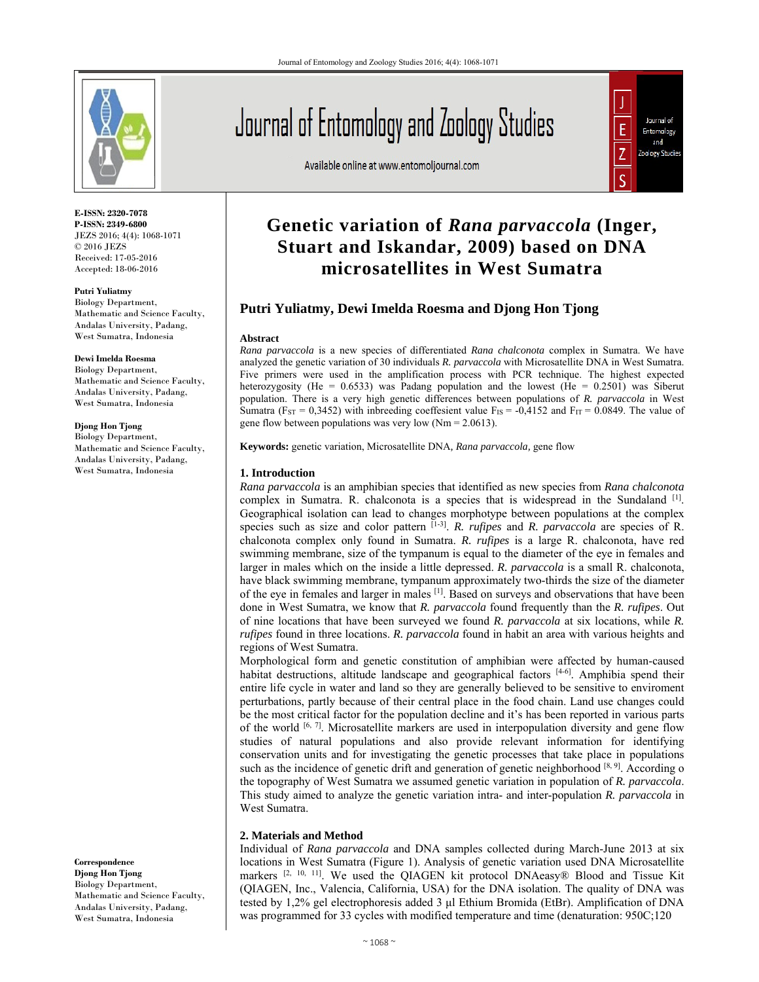

**E-ISSN: 2320-7078 P-ISSN: 2349-6800** JEZS 2016; 4(4): 1068-1071 © 2016 JEZS Received: 17-05-2016 Accepted: 18-06-2016

**Putri Yuliatmy**  Biology Department, Mathematic and Science Faculty, Andalas University, Padang, West Sumatra, Indonesia

#### **Dewi Imelda Roesma**

Biology Department, Mathematic and Science Faculty, Andalas University, Padang, West Sumatra, Indonesia

**Djong Hon Tjong** Biology Department,

Mathematic and Science Faculty, Andalas University, Padang, West Sumatra, Indonesia

**Correspondence Djong Hon Tjong** Biology Department, Mathematic and Science Faculty, Andalas University, Padang, West Sumatra, Indonesia

# Journal of Entomology and Zoology Studies

Available online at www.entomoljournal.com



# **Genetic variation of** *Rana parvaccola* **(Inger, Stuart and Iskandar, 2009) based on DNA microsatellites in West Sumatra**

# **Putri Yuliatmy, Dewi Imelda Roesma and Djong Hon Tjong**

#### **Abstract**

*Rana parvaccola* is a new species of differentiated *Rana chalconota* complex in Sumatra. We have analyzed the genetic variation of 30 individuals *R. parvaccola* with Microsatellite DNA in West Sumatra. Five primers were used in the amplification process with PCR technique. The highest expected heterozygosity (He =  $0.6533$ ) was Padang population and the lowest (He =  $0.2501$ ) was Siberut population. There is a very high genetic differences between populations of *R. parvaccola* in West Sumatra (F<sub>ST</sub> = 0,3452) with inbreeding coeffesient value F<sub>IS</sub> = -0,4152 and F<sub>IT</sub> = 0.0849. The value of gene flow between populations was very low  $(Nm = 2.0613)$ .

**Keywords:** genetic variation, Microsatellite DNA*, Rana parvaccola,* gene flow

#### **1. Introduction**

*Rana parvaccola* is an amphibian species that identified as new species from *Rana chalconota* complex in Sumatra. R. chalconota is a species that is widespread in the Sundaland  $\left[1\right]$ . Geographical isolation can lead to changes morphotype between populations at the complex species such as size and color pattern [1-3]. *R. rufipes* and *R. parvaccola* are species of R. chalconota complex only found in Sumatra. *R. rufipes* is a large R. chalconota, have red swimming membrane, size of the tympanum is equal to the diameter of the eye in females and larger in males which on the inside a little depressed. *R. parvaccola* is a small R. chalconota, have black swimming membrane, tympanum approximately two-thirds the size of the diameter of the eye in females and larger in males [1]. Based on surveys and observations that have been done in West Sumatra, we know that *R. parvaccola* found frequently than the *R. rufipes*. Out of nine locations that have been surveyed we found *R. parvaccola* at six locations, while *R. rufipes* found in three locations. *R. parvaccola* found in habit an area with various heights and regions of West Sumatra.

Morphological form and genetic constitution of amphibian were affected by human-caused habitat destructions, altitude landscape and geographical factors  $[4-6]$ . Amphibia spend their entire life cycle in water and land so they are generally believed to be sensitive to enviroment perturbations, partly because of their central place in the food chain. Land use changes could be the most critical factor for the population decline and it's has been reported in various parts of the world  $[6, 7]$ . Microsatellite markers are used in interpopulation diversity and gene flow studies of natural populations and also provide relevant information for identifying conservation units and for investigating the genetic processes that take place in populations such as the incidence of genetic drift and generation of genetic neighborhood  $[8, 9]$ . According o the topography of West Sumatra we assumed genetic variation in population of *R. parvaccola*. This study aimed to analyze the genetic variation intra- and inter-population *R. parvaccola* in West Sumatra.

# **2. Materials and Method**

Individual of *Rana parvaccola* and DNA samples collected during March-June 2013 at six locations in West Sumatra (Figure 1). Analysis of genetic variation used DNA Microsatellite markers [2, 10, 11]. We used the QIAGEN kit protocol DNAeasy® Blood and Tissue Kit (QIAGEN, Inc., Valencia, California, USA) for the DNA isolation. The quality of DNA was tested by 1,2% gel electrophoresis added 3 μl Ethium Bromida (EtBr). Amplification of DNA was programmed for 33 cycles with modified temperature and time (denaturation: 950C;120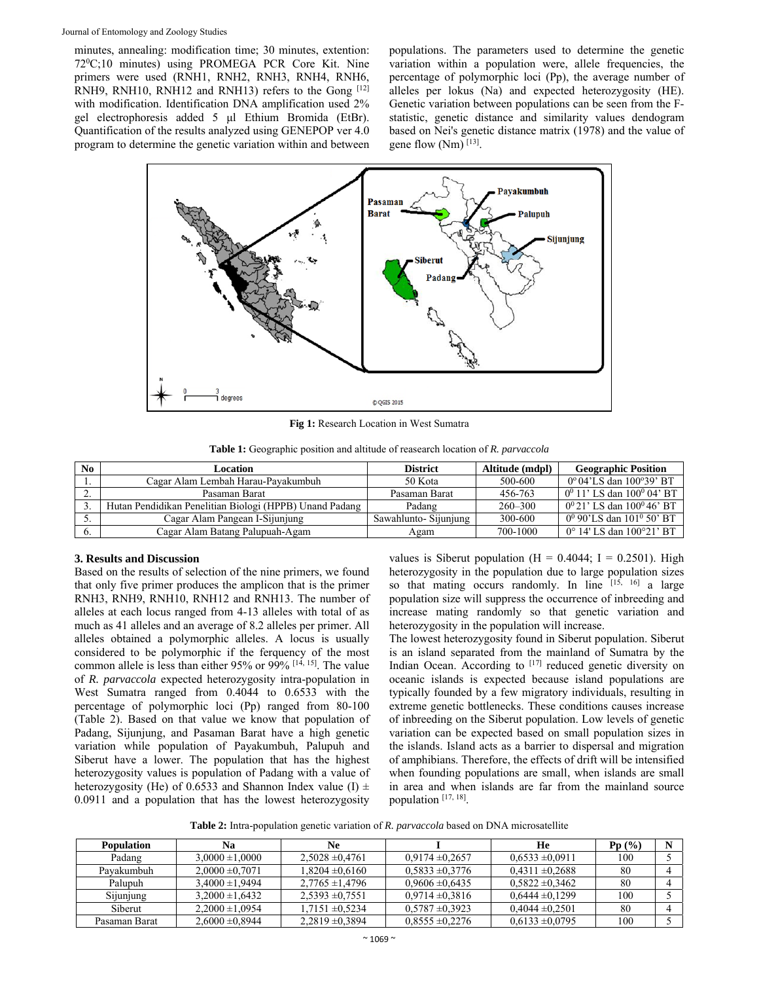minutes, annealing: modification time; 30 minutes, extention: 720 C;10 minutes) using PROMEGA PCR Core Kit. Nine primers were used (RNH1, RNH2, RNH3, RNH4, RNH6, RNH9, RNH10, RNH12 and RNH13) refers to the Gong [12] with modification. Identification DNA amplification used 2% gel electrophoresis added 5 μl Ethium Bromida (EtBr). Quantification of the results analyzed using GENEPOP ver 4.0 program to determine the genetic variation within and between

populations. The parameters used to determine the genetic variation within a population were, allele frequencies, the percentage of polymorphic loci (Pp), the average number of alleles per lokus (Na) and expected heterozygosity (HE). Genetic variation between populations can be seen from the Fstatistic, genetic distance and similarity values dendogram based on Nei's genetic distance matrix (1978) and the value of gene flow  $(Nm)$ <sup>[13]</sup>.



**Fig 1:** Research Location in West Sumatra

**Table 1:** Geographic position and altitude of reasearch location of *R. parvaccola* 

| N <sub>0</sub> | Location                                                | <b>District</b>       | Altitude (mdpl) | <b>Geographic Position</b>                 |
|----------------|---------------------------------------------------------|-----------------------|-----------------|--------------------------------------------|
|                | Cagar Alam Lembah Harau-Payakumbuh                      | 50 Kota               | 500-600         | 0° 04'LS dan 100°39' BT                    |
| <u>.</u>       | Pasaman Barat                                           | Pasaman Barat         | 456-763         | $0^0$ 11' LS dan $100^0$ 04' BT            |
|                | Hutan Pendidikan Penelitian Biologi (HPPB) Unand Padang | Padang                | $260 - 300$     | $0^0 21$ ' LS dan $100^0 46$ ' BT          |
|                | Cagar Alam Pangean I-Sijunjung                          | Sawahlunto- Sijunjung | 300-600         | $0^0$ 90'LS dan 101 <sup>0</sup> 50' BT    |
|                | Cagar Alam Batang Palupuah-Agam                         | Agam                  | 700-1000        | $0^{\circ}$ 14' LS dan $100^{\circ}21'$ BT |

# **3. Results and Discussion**

Based on the results of selection of the nine primers, we found that only five primer produces the amplicon that is the primer RNH3, RNH9, RNH10, RNH12 and RNH13. The number of alleles at each locus ranged from 4-13 alleles with total of as much as 41 alleles and an average of 8.2 alleles per primer. All alleles obtained a polymorphic alleles. A locus is usually considered to be polymorphic if the ferquency of the most common allele is less than either 95% or  $99\%$  <sup>[14, 15]</sup>. The value of *R. parvaccola* expected heterozygosity intra-population in West Sumatra ranged from 0.4044 to 0.6533 with the percentage of polymorphic loci (Pp) ranged from 80-100 (Table 2). Based on that value we know that population of Padang, Sijunjung, and Pasaman Barat have a high genetic variation while population of Payakumbuh, Palupuh and Siberut have a lower. The population that has the highest heterozygosity values is population of Padang with a value of heterozygosity (He) of 0.6533 and Shannon Index value (I)  $\pm$ 0.0911 and a population that has the lowest heterozygosity

values is Siberut population (H =  $0.4044$ ; I =  $0.2501$ ). High heterozygosity in the population due to large population sizes so that mating occurs randomly. In line  $[15, 16]$  a large population size will suppress the occurrence of inbreeding and increase mating randomly so that genetic variation and heterozygosity in the population will increase.

The lowest heterozygosity found in Siberut population. Siberut is an island separated from the mainland of Sumatra by the Indian Ocean. According to [17] reduced genetic diversity on oceanic islands is expected because island populations are typically founded by a few migratory individuals, resulting in extreme genetic bottlenecks. These conditions causes increase of inbreeding on the Siberut population. Low levels of genetic variation can be expected based on small population sizes in the islands. Island acts as a barrier to dispersal and migration of amphibians. Therefore, the effects of drift will be intensified when founding populations are small, when islands are small in area and when islands are far from the mainland source population [17, 18].

**Table 2:** Intra-population genetic variation of *R. parvaccola* based on DNA microsatellite

| <b>Population</b> | Nа                  | Ne                  |                     | He                  | Pp(%) |  |
|-------------------|---------------------|---------------------|---------------------|---------------------|-------|--|
| Padang            | $3.0000 \pm 1.0000$ | $2.5028 \pm 0.4761$ | $0.9174 \pm 0.2657$ | $0.6533 \pm 0.0911$ | 100   |  |
| Pavakumbuh        | $2,0000 \pm 0.7071$ | $1.8204 \pm 0.6160$ | $0.5833 \pm 0.3776$ | $0.4311 \pm 0.2688$ | 80    |  |
| Palupuh           | $3.4000 \pm 1.9494$ | $2.7765 \pm 1.4796$ | $0.9606 \pm 0.6435$ | $0.5822 \pm 0.3462$ | 80    |  |
| Sijunjung         | $3.2000 \pm 1.6432$ | $2.5393 \pm 0.7551$ | $0.9714 \pm 0.3816$ | $0.6444 \pm 0.1299$ | 100   |  |
| Siberut           | $2.2000 \pm 1.0954$ | $1.7151 \pm 0.5234$ | $0.5787 \pm 0.3923$ | $0.4044 \pm 0.2501$ | 80    |  |
| Pasaman Barat     | $2.6000 \pm 0.8944$ | $2.2819 \pm 0.3894$ | $0.8555 \pm 0.2276$ | $0.6133 \pm 0.0795$ | 100   |  |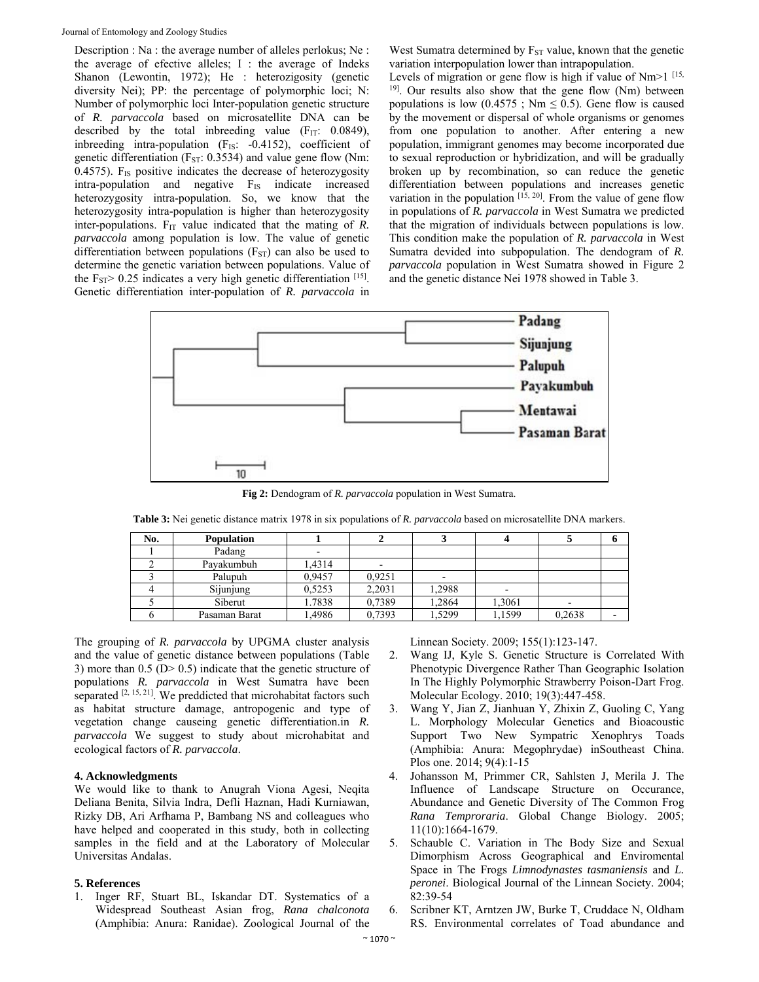Description : Na : the average number of alleles perlokus; Ne : the average of efective alleles; I : the average of Indeks Shanon (Lewontin, 1972); He : heterozigosity (genetic diversity Nei); PP: the percentage of polymorphic loci; N: Number of polymorphic loci Inter-population genetic structure of *R. parvaccola* based on microsatellite DNA can be described by the total inbreeding value  $(F_{IT}: 0.0849)$ , inbreeding intra-population (F<sub>IS</sub>: -0.4152), coefficient of genetic differentiation ( $F_{ST}$ : 0.3534) and value gene flow (Nm: 0.4575).  $F_{IS}$  positive indicates the decrease of heterozygosity intra-population and negative F<sub>IS</sub> indicate increased heterozygosity intra-population. So, we know that the heterozygosity intra-population is higher than heterozygosity inter-populations.  $F_{IT}$  value indicated that the mating of  $R$ . *parvaccola* among population is low. The value of genetic differentiation between populations  $(F_{ST})$  can also be used to determine the genetic variation between populations. Value of the  $F_{ST}$  > 0.25 indicates a very high genetic differentiation [15]. Genetic differentiation inter-population of *R. parvaccola* in

West Sumatra determined by  $F_{ST}$  value, known that the genetic variation interpopulation lower than intrapopulation.

Levels of migration or gene flow is high if value of Nm>1<sup>[15,</sup> <sup>19]</sup>. Our results also show that the gene flow (Nm) between populations is low  $(0.4575; Nm \le 0.5)$ . Gene flow is caused by the movement or dispersal of whole organisms or genomes from one population to another. After entering a new population, immigrant genomes may become incorporated due to sexual reproduction or hybridization, and will be gradually broken up by recombination, so can reduce the genetic differentiation between populations and increases genetic variation in the population  $[15, 20]$ . From the value of gene flow in populations of *R. parvaccola* in West Sumatra we predicted that the migration of individuals between populations is low. This condition make the population of *R. parvaccola* in West Sumatra devided into subpopulation. The dendogram of *R. parvaccola* population in West Sumatra showed in Figure 2 and the genetic distance Nei 1978 showed in Table 3.



**Fig 2:** Dendogram of *R. parvaccola* population in West Sumatra.

**Table 3:** Nei genetic distance matrix 1978 in six populations of *R. parvaccola* based on microsatellite DNA markers.

| No. | <b>Population</b> |        |                          |        |        |        |  |
|-----|-------------------|--------|--------------------------|--------|--------|--------|--|
|     | Padang            |        |                          |        |        |        |  |
|     | Pavakumbuh        | 1.4314 | $\overline{\phantom{0}}$ |        |        |        |  |
|     | Palupuh           | 0,9457 | 0,9251                   |        |        |        |  |
|     | Sijunjung         | 0,5253 | 2,2031                   | 1,2988 |        |        |  |
|     | Siberut           | 1.7838 | 0,7389                   | 1,2864 | 1,3061 |        |  |
|     | Pasaman Barat     | ,4986  | 0.7393                   | 1.5299 | 1,1599 | 0,2638 |  |

The grouping of *R. parvaccola* by UPGMA cluster analysis and the value of genetic distance between populations (Table 3) more than  $0.5$  (D $> 0.5$ ) indicate that the genetic structure of populations *R. parvaccola* in West Sumatra have been separated  $[2, 15, 21]$ . We preddicted that microhabitat factors such as habitat structure damage, antropogenic and type of vegetation change causeing genetic differentiation.in *R. parvaccola* We suggest to study about microhabitat and ecological factors of *R. parvaccola*.

# **4. Acknowledgments**

We would like to thank to Anugrah Viona Agesi, Neqita Deliana Benita, Silvia Indra, Defli Haznan, Hadi Kurniawan, Rizky DB, Ari Arfhama P, Bambang NS and colleagues who have helped and cooperated in this study, both in collecting samples in the field and at the Laboratory of Molecular Universitas Andalas.

# **5. References**

1. Inger RF, Stuart BL, Iskandar DT. Systematics of a Widespread Southeast Asian frog, *Rana chalconota*  (Amphibia: Anura: Ranidae). Zoological Journal of the

Linnean Society. 2009; 155(1):123-147.

- 2. Wang IJ, Kyle S. Genetic Structure is Correlated With Phenotypic Divergence Rather Than Geographic Isolation In The Highly Polymorphic Strawberry Poison-Dart Frog. Molecular Ecology. 2010; 19(3):447-458.
- 3. Wang Y, Jian Z, Jianhuan Y, Zhixin Z, Guoling C, Yang L. Morphology Molecular Genetics and Bioacoustic Support Two New Sympatric Xenophrys Toads (Amphibia: Anura: Megophrydae) inSoutheast China. Plos one. 2014; 9(4):1-15
- 4. Johansson M, Primmer CR, Sahlsten J, Merila J. The Influence of Landscape Structure on Occurance, Abundance and Genetic Diversity of The Common Frog *Rana Temproraria*. Global Change Biology. 2005; 11(10):1664-1679.
- 5. Schauble C. Variation in The Body Size and Sexual Dimorphism Across Geographical and Enviromental Space in The Frogs *Limnodynastes tasmaniensis* and *L. peronei*. Biological Journal of the Linnean Society. 2004; 82:39-54
- 6. Scribner KT, Arntzen JW, Burke T, Cruddace N, Oldham RS. Environmental correlates of Toad abundance and